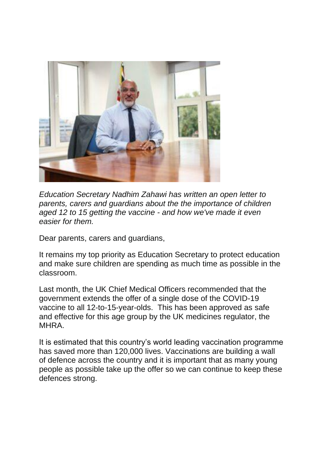

*Education Secretary Nadhim Zahawi has written an open letter to parents, carers and guardians about the the importance of children aged 12 to 15 getting the vaccine - and how we've made it even easier for them.*

Dear parents, carers and guardians,

It remains my top priority as Education Secretary to protect education and make sure children are spending as much time as possible in the classroom.

Last month, the UK Chief Medical Officers recommended that the government extends the offer of a single dose of the COVID-19 vaccine to all 12-to-15-year-olds. This has been approved as safe and effective for this age group by the UK medicines regulator, the **MHRA** 

It is estimated that this country's world leading vaccination programme has saved more than 120,000 lives. Vaccinations are building a wall of defence across the country and it is important that as many young people as possible take up the offer so we can continue to keep these defences strong.